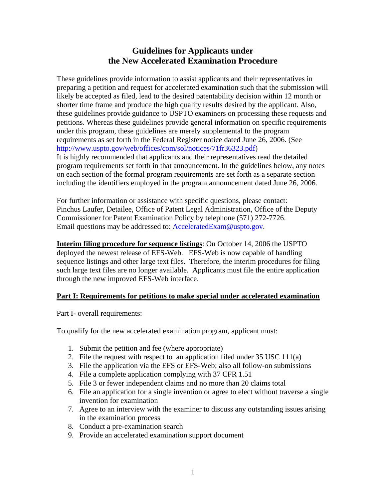# **Guidelines for Applicants under the New Accelerated Examination Procedure**

These guidelines provide information to assist applicants and their representatives in preparing a petition and request for accelerated examination such that the submission will likely be accepted as filed, lead to the desired patentability decision within 12 month or shorter time frame and produce the high quality results desired by the applicant. Also, these guidelines provide guidance to USPTO examiners on processing these requests and petitions. Whereas these guidelines provide general information on specific requirements under this program, these guidelines are merely supplemental to the program requirements as set forth in the Federal Register notice dated June 26, 2006. (See http://www.uspto.gov/web/offices/com/sol/notices/71fr36323.pdf) It is highly recommended that applicants and their representatives read the detailed program requirements set forth in that announcement. In the guidelines below, any notes on each section of the formal program requirements are set forth as a separate section including the identifiers employed in the program announcement dated June 26, 2006.

For further information or assistance with specific questions, please contact: Pinchus Laufer, Detailee, Office of Patent Legal Administration, Office of the Deputy Commissioner for Patent Examination Policy by telephone (571) 272-7726. Email questions may be addressed to: AcceleratedExam@uspto.gov.

**Interim filing procedure for sequence listings**: On October 14, 2006 the USPTO deployed the newest release of EFS-Web. EFS-Web is now capable of handling sequence listings and other large text files. Therefore, the interim procedures for filing such large text files are no longer available. Applicants must file the entire application through the new improved EFS-Web interface.

# **Part I: Requirements for petitions to make special under accelerated examination**

Part I- overall requirements:

To qualify for the new accelerated examination program, applicant must:

- 1. Submit the petition and fee (where appropriate)
- 2. File the request with respect to an application filed under  $35$  USC  $111(a)$
- 3. File the application via the EFS or EFS-Web; also all follow-on submissions
- 4. File a complete application complying with 37 CFR 1.51
- 5. File 3 or fewer independent claims and no more than 20 claims total
- 6. File an application for a single invention or agree to elect without traverse a single invention for examination
- 7. Agree to an interview with the examiner to discuss any outstanding issues arising in the examination process
- 8. Conduct a pre-examination search
- 9. Provide an accelerated examination support document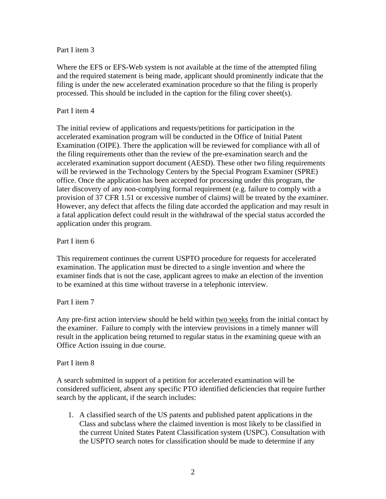# Part I item 3

Where the EFS or EFS-Web system is not available at the time of the attempted filing and the required statement is being made, applicant should prominently indicate that the filing is under the new accelerated examination procedure so that the filing is properly processed. This should be included in the caption for the filing cover sheet(s).

# Part I item 4

The initial review of applications and requests/petitions for participation in the accelerated examination program will be conducted in the Office of Initial Patent Examination (OIPE). There the application will be reviewed for compliance with all of the filing requirements other than the review of the pre-examination search and the accelerated examination support document (AESD). These other two filing requirements will be reviewed in the Technology Centers by the Special Program Examiner (SPRE) office. Once the application has been accepted for processing under this program, the later discovery of any non-complying formal requirement (e.g. failure to comply with a provision of 37 CFR 1.51 or excessive number of claims) will be treated by the examiner. However, any defect that affects the filing date accorded the application and may result in a fatal application defect could result in the withdrawal of the special status accorded the application under this program.

# Part I item 6

This requirement continues the current USPTO procedure for requests for accelerated examination. The application must be directed to a single invention and where the examiner finds that is not the case, applicant agrees to make an election of the invention to be examined at this time without traverse in a telephonic interview.

# Part I item 7

Any pre-first action interview should be held within two weeks from the initial contact by the examiner. Failure to comply with the interview provisions in a timely manner will result in the application being returned to regular status in the examining queue with an Office Action issuing in due course.

#### Part I item 8

A search submitted in support of a petition for accelerated examination will be considered sufficient, absent any specific PTO identified deficiencies that require further search by the applicant, if the search includes:

1. A classified search of the US patents and published patent applications in the Class and subclass where the claimed invention is most likely to be classified in the current United States Patent Classification system (USPC). Consultation with the USPTO search notes for classification should be made to determine if any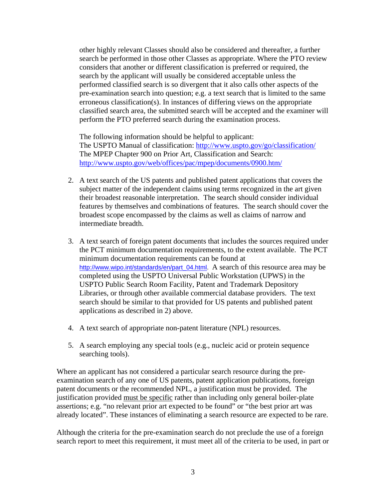other highly relevant Classes should also be considered and thereafter, a further search be performed in those other Classes as appropriate. Where the PTO review considers that another or different classification is preferred or required, the search by the applicant will usually be considered acceptable unless the performed classified search is so divergent that it also calls other aspects of the pre-examination search into question; e.g. a text search that is limited to the same erroneous classification(s). In instances of differing views on the appropriate classified search area, the submitted search will be accepted and the examiner will perform the PTO preferred search during the examination process.

The following information should be helpful to applicant: The USPTO Manual of classification: http://www.uspto.gov/go/classification/ The MPEP Chapter 900 on Prior Art, Classification and Search: http://www.uspto.gov/web/offices/pac/mpep/documents/0900.htm/

- 2. A text search of the US patents and published patent applications that covers the subject matter of the independent claims using terms recognized in the art given their broadest reasonable interpretation. The search should consider individual features by themselves and combinations of features. The search should cover the broadest scope encompassed by the claims as well as claims of narrow and intermediate breadth.
- 3. A text search of foreign patent documents that includes the sources required under the PCT minimum documentation requirements, to the extent available. The PCT minimum documentation requirements can be found at http://www.wipo.int/standards/en/part\_04.html. A search of this resource area may be completed using the USPTO Universal Public Workstation (UPWS) in the USPTO Public Search Room Facility, Patent and Trademark Depository Libraries, or through other available commercial database providers. The text search should be similar to that provided for US patents and published patent applications as described in 2) above.
- 4. A text search of appropriate non-patent literature (NPL) resources.
- 5. A search employing any special tools (e.g., nucleic acid or protein sequence searching tools).

Where an applicant has not considered a particular search resource during the preexamination search of any one of US patents, patent application publications, foreign patent documents or the recommended NPL, a justification must be provided. The justification provided must be specific rather than including only general boiler-plate assertions; e.g. "no relevant prior art expected to be found" or "the best prior art was already located". These instances of eliminating a search resource are expected to be rare.

Although the criteria for the pre-examination search do not preclude the use of a foreign search report to meet this requirement, it must meet all of the criteria to be used, in part or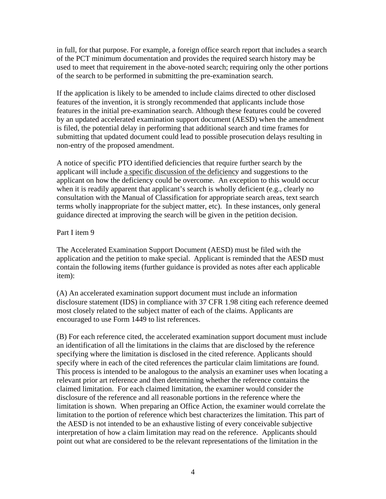in full, for that purpose. For example, a foreign office search report that includes a search of the PCT minimum documentation and provides the required search history may be used to meet that requirement in the above-noted search; requiring only the other portions of the search to be performed in submitting the pre-examination search.

If the application is likely to be amended to include claims directed to other disclosed features of the invention, it is strongly recommended that applicants include those features in the initial pre-examination search. Although these features could be covered by an updated accelerated examination support document (AESD) when the amendment is filed, the potential delay in performing that additional search and time frames for submitting that updated document could lead to possible prosecution delays resulting in non-entry of the proposed amendment.

A notice of specific PTO identified deficiencies that require further search by the applicant will include a specific discussion of the deficiency and suggestions to the applicant on how the deficiency could be overcome. An exception to this would occur when it is readily apparent that applicant's search is wholly deficient (e.g., clearly no consultation with the Manual of Classification for appropriate search areas, text search terms wholly inappropriate for the subject matter, etc). In these instances, only general guidance directed at improving the search will be given in the petition decision.

# Part I item 9

The Accelerated Examination Support Document (AESD) must be filed with the application and the petition to make special. Applicant is reminded that the AESD must contain the following items (further guidance is provided as notes after each applicable item):

(A) An accelerated examination support document must include an information disclosure statement (IDS) in compliance with 37 CFR 1.98 citing each reference deemed most closely related to the subject matter of each of the claims. Applicants are encouraged to use Form 1449 to list references.

(B) For each reference cited, the accelerated examination support document must include an identification of all the limitations in the claims that are disclosed by the reference specifying where the limitation is disclosed in the cited reference. Applicants should specify where in each of the cited references the particular claim limitations are found. This process is intended to be analogous to the analysis an examiner uses when locating a relevant prior art reference and then determining whether the reference contains the claimed limitation. For each claimed limitation, the examiner would consider the disclosure of the reference and all reasonable portions in the reference where the limitation is shown. When preparing an Office Action, the examiner would correlate the limitation to the portion of reference which best characterizes the limitation. This part of the AESD is not intended to be an exhaustive listing of every conceivable subjective interpretation of how a claim limitation may read on the reference. Applicants should point out what are considered to be the relevant representations of the limitation in the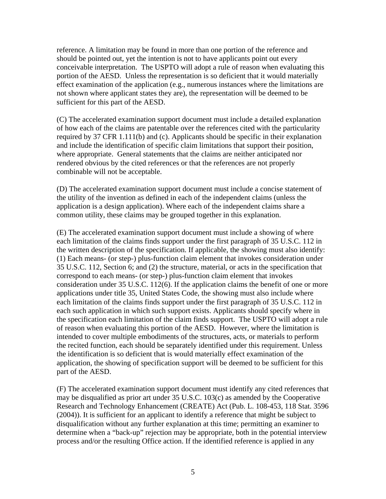reference. A limitation may be found in more than one portion of the reference and should be pointed out, yet the intention is not to have applicants point out every conceivable interpretation. The USPTO will adopt a rule of reason when evaluating this portion of the AESD. Unless the representation is so deficient that it would materially effect examination of the application (e.g., numerous instances where the limitations are not shown where applicant states they are), the representation will be deemed to be sufficient for this part of the AESD.

(C) The accelerated examination support document must include a detailed explanation of how each of the claims are patentable over the references cited with the particularity required by 37 CFR 1.111(b) and (c). Applicants should be specific in their explanation and include the identification of specific claim limitations that support their position, where appropriate. General statements that the claims are neither anticipated nor rendered obvious by the cited references or that the references are not properly combinable will not be acceptable.

(D) The accelerated examination support document must include a concise statement of the utility of the invention as defined in each of the independent claims (unless the application is a design application). Where each of the independent claims share a common utility, these claims may be grouped together in this explanation.

(E) The accelerated examination support document must include a showing of where each limitation of the claims finds support under the first paragraph of 35 U.S.C. 112 in the written description of the specification. If applicable, the showing must also identify: (1) Each means- (or step-) plus-function claim element that invokes consideration under 35 U.S.C. 112, Section 6; and (2) the structure, material, or acts in the specification that correspond to each means- (or step-) plus-function claim element that invokes consideration under 35 U.S.C. 112(6). If the application claims the benefit of one or more applications under title 35, United States Code, the showing must also include where each limitation of the claims finds support under the first paragraph of 35 U.S.C. 112 in each such application in which such support exists. Applicants should specify where in the specification each limitation of the claim finds support. The USPTO will adopt a rule of reason when evaluating this portion of the AESD. However, where the limitation is intended to cover multiple embodiments of the structures, acts, or materials to perform the recited function, each should be separately identified under this requirement. Unless the identification is so deficient that is would materially effect examination of the application, the showing of specification support will be deemed to be sufficient for this part of the AESD.

(F) The accelerated examination support document must identify any cited references that may be disqualified as prior art under 35 U.S.C. 103(c) as amended by the Cooperative Research and Technology Enhancement (CREATE) Act (Pub. L. 108-453, 118 Stat. 3596 (2004)). It is sufficient for an applicant to identify a reference that might be subject to disqualification without any further explanation at this time; permitting an examiner to determine when a "back-up" rejection may be appropriate, both in the potential interview process and/or the resulting Office action. If the identified reference is applied in any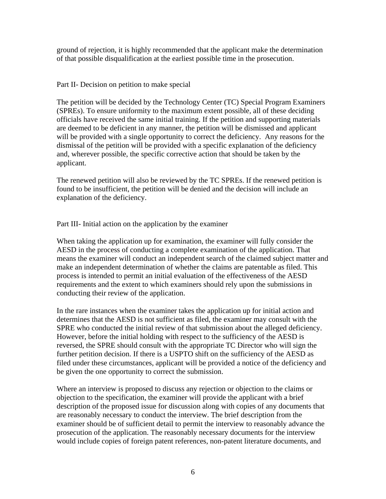ground of rejection, it is highly recommended that the applicant make the determination of that possible disqualification at the earliest possible time in the prosecution.

# Part II- Decision on petition to make special

The petition will be decided by the Technology Center (TC) Special Program Examiners (SPREs). To ensure uniformity to the maximum extent possible, all of these deciding officials have received the same initial training. If the petition and supporting materials are deemed to be deficient in any manner, the petition will be dismissed and applicant will be provided with a single opportunity to correct the deficiency. Any reasons for the dismissal of the petition will be provided with a specific explanation of the deficiency and, wherever possible, the specific corrective action that should be taken by the applicant.

The renewed petition will also be reviewed by the TC SPREs. If the renewed petition is found to be insufficient, the petition will be denied and the decision will include an explanation of the deficiency.

# Part III- Initial action on the application by the examiner

When taking the application up for examination, the examiner will fully consider the AESD in the process of conducting a complete examination of the application. That means the examiner will conduct an independent search of the claimed subject matter and make an independent determination of whether the claims are patentable as filed. This process is intended to permit an initial evaluation of the effectiveness of the AESD requirements and the extent to which examiners should rely upon the submissions in conducting their review of the application.

In the rare instances when the examiner takes the application up for initial action and determines that the AESD is not sufficient as filed, the examiner may consult with the SPRE who conducted the initial review of that submission about the alleged deficiency. However, before the initial holding with respect to the sufficiency of the AESD is reversed, the SPRE should consult with the appropriate TC Director who will sign the further petition decision. If there is a USPTO shift on the sufficiency of the AESD as filed under these circumstances, applicant will be provided a notice of the deficiency and be given the one opportunity to correct the submission.

Where an interview is proposed to discuss any rejection or objection to the claims or objection to the specification, the examiner will provide the applicant with a brief description of the proposed issue for discussion along with copies of any documents that are reasonably necessary to conduct the interview. The brief description from the examiner should be of sufficient detail to permit the interview to reasonably advance the prosecution of the application. The reasonably necessary documents for the interview would include copies of foreign patent references, non-patent literature documents, and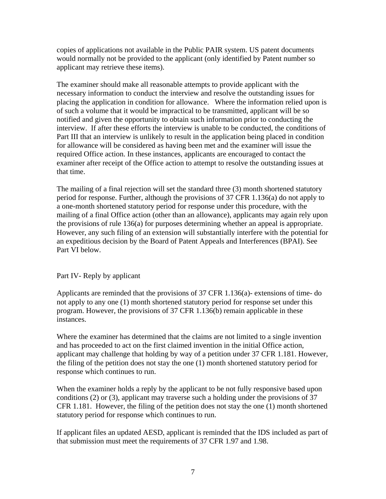copies of applications not available in the Public PAIR system. US patent documents would normally not be provided to the applicant (only identified by Patent number so applicant may retrieve these items).

The examiner should make all reasonable attempts to provide applicant with the necessary information to conduct the interview and resolve the outstanding issues for placing the application in condition for allowance. Where the information relied upon is of such a volume that it would be impractical to be transmitted, applicant will be so notified and given the opportunity to obtain such information prior to conducting the interview. If after these efforts the interview is unable to be conducted, the conditions of Part III that an interview is unlikely to result in the application being placed in condition for allowance will be considered as having been met and the examiner will issue the required Office action. In these instances, applicants are encouraged to contact the examiner after receipt of the Office action to attempt to resolve the outstanding issues at that time.

The mailing of a final rejection will set the standard three (3) month shortened statutory period for response. Further, although the provisions of 37 CFR 1.136(a) do not apply to a one-month shortened statutory period for response under this procedure, with the mailing of a final Office action (other than an allowance), applicants may again rely upon the provisions of rule 136(a) for purposes determining whether an appeal is appropriate. However, any such filing of an extension will substantially interfere with the potential for an expeditious decision by the Board of Patent Appeals and Interferences (BPAI). See Part VI below.

#### Part IV- Reply by applicant

Applicants are reminded that the provisions of 37 CFR 1.136(a)- extensions of time- do not apply to any one (1) month shortened statutory period for response set under this program. However, the provisions of 37 CFR 1.136(b) remain applicable in these instances.

Where the examiner has determined that the claims are not limited to a single invention and has proceeded to act on the first claimed invention in the initial Office action, applicant may challenge that holding by way of a petition under 37 CFR 1.181. However, the filing of the petition does not stay the one (1) month shortened statutory period for response which continues to run.

When the examiner holds a reply by the applicant to be not fully responsive based upon conditions (2) or (3), applicant may traverse such a holding under the provisions of 37 CFR 1.181. However, the filing of the petition does not stay the one (1) month shortened statutory period for response which continues to run.

If applicant files an updated AESD, applicant is reminded that the IDS included as part of that submission must meet the requirements of 37 CFR 1.97 and 1.98.